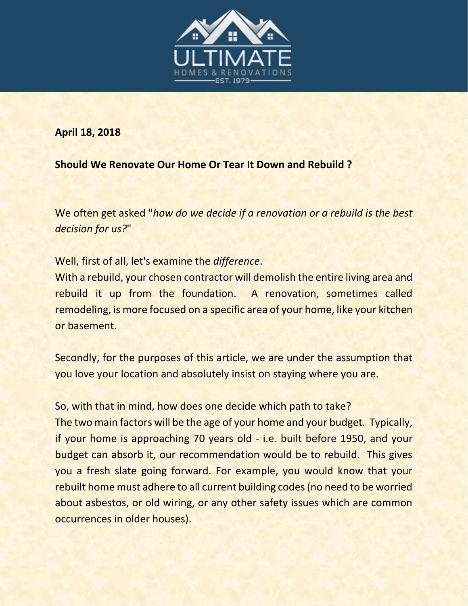

**April 18, 2018**

**Should We Renovate Our Home Or Tear It Down and Rebuild ?**

We often get asked "*how do we decide if a renovation or a rebuild is the best decision for us?*"

Well, first of all, let's examine the *difference*.

With a rebuild, your chosen contractor will demolish the entire living area and rebuild it up from the foundation. A renovation, sometimes called remodeling, is more focused on a specific area of your home, like your kitchen or basement.

Secondly, for the purposes of this article, we are under the assumption that you love your location and absolutely insist on staying where you are.

So, with that in mind, how does one decide which path to take?

The two main factors will be the age of your home and your budget. Typically, if your home is approaching 70 years old - i.e. built before 1950, and your budget can absorb it, our recommendation would be to rebuild. This gives you a fresh slate going forward. For example, you would know that your rebuilt home must adhere to all current building codes (no need to be worried about asbestos, or old wiring, or any other safety issues which are common occurrences in older houses).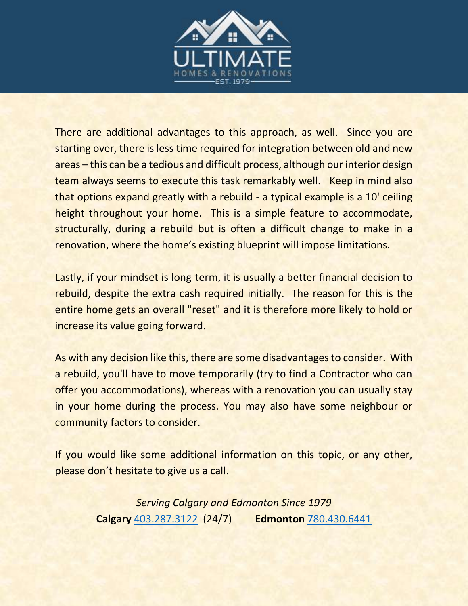

There are additional advantages to this approach, as well. Since you are starting over, there is less time required for integration between old and new areas – this can be a tedious and difficult process, although our interior design team always seems to execute this task remarkably well. Keep in mind also that options expand greatly with a rebuild - a typical example is a 10' ceiling height throughout your home. This is a simple feature to accommodate, structurally, during a rebuild but is often a difficult change to make in a renovation, where the home's existing blueprint will impose limitations.

Lastly, if your mindset is long-term, it is usually a better financial decision to rebuild, despite the extra cash required initially. The reason for this is the entire home gets an overall "reset" and it is therefore more likely to hold or increase its value going forward.

As with any decision like this, there are some disadvantages to consider. With a rebuild, you'll have to move temporarily (try to find a Contractor who can offer you accommodations), whereas with a renovation you can usually stay in your home during the process. You may also have some neighbour or community factors to consider.

If you would like some additional information on this topic, or any other, please don't hesitate to give us a call.

> *Serving Calgary and Edmonton Since 1979* **Calgary** [403.287.3122](tel:4032873122) (24/7) **Edmonton** [780.430.6441](tel:7804306441)